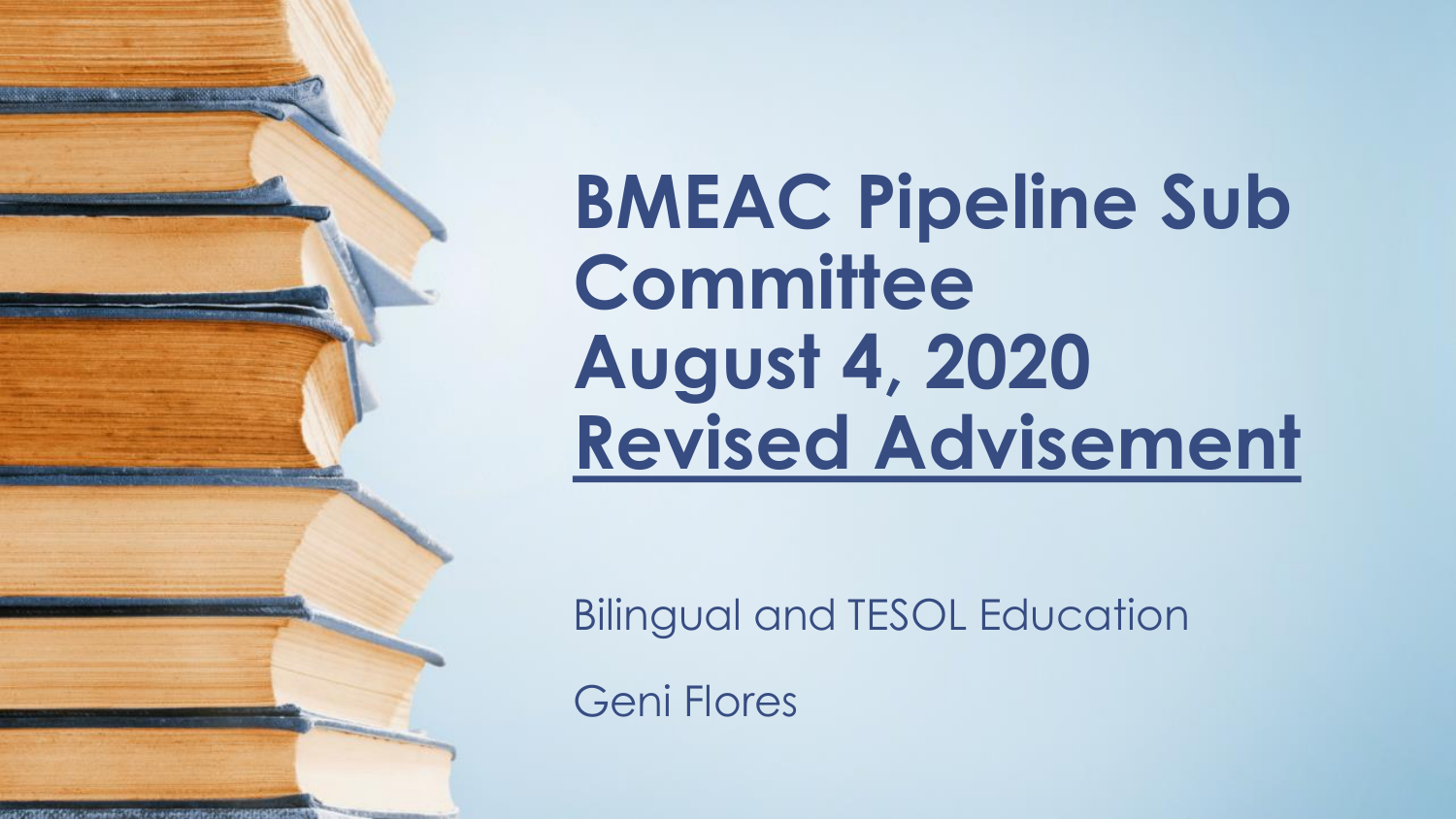**BMEAC Pipeline Sub Committee August 4, 2020 Revised Advisement**

Bilingual and TESOL Education

Geni Flores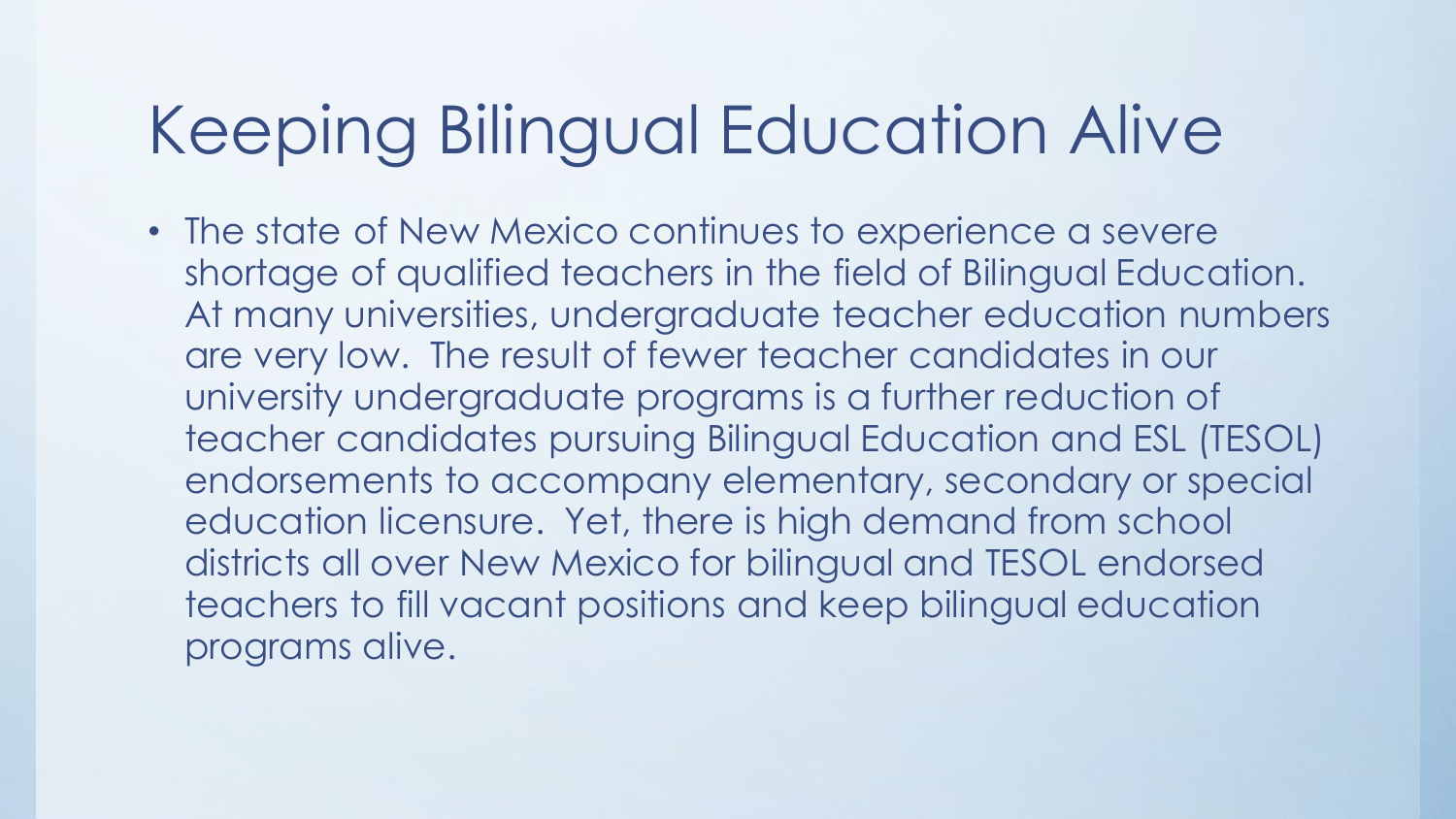### Keeping Bilingual Education Alive

• The state of New Mexico continues to experience a severe shortage of qualified teachers in the field of Bilingual Education. At many universities, undergraduate teacher education numbers are very low. The result of fewer teacher candidates in our university undergraduate programs is a further reduction of teacher candidates pursuing Bilingual Education and ESL (TESOL) endorsements to accompany elementary, secondary or special education licensure. Yet, there is high demand from school districts all over New Mexico for bilingual and TESOL endorsed teachers to fill vacant positions and keep bilingual education programs alive.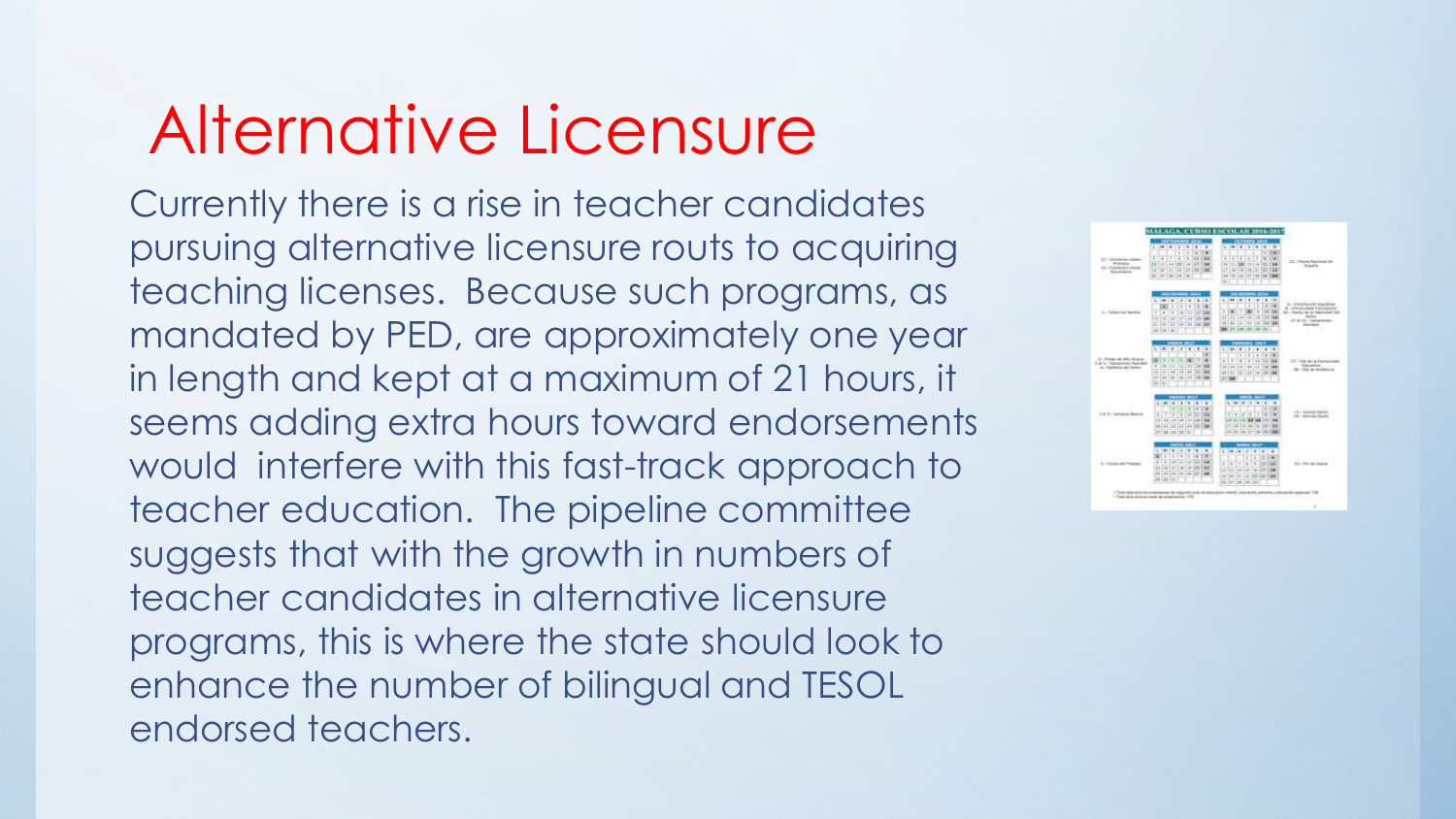#### Alternative Licensure

Currently there is a rise in teacher candidates pursuing alternative licensure routs to acquiring teaching licenses. Because such programs, as mandated by PED, are approximately one year in length and kept at a maximum of 21 hours, it seems adding extra hours toward endorsements would interfere with this fast-track approach to teacher education. The pipeline committee suggests that with the growth in numbers of teacher candidates in alternative licensure programs, this is where the state should look to enhance the number of bilingual and TESOL endorsed teachers.

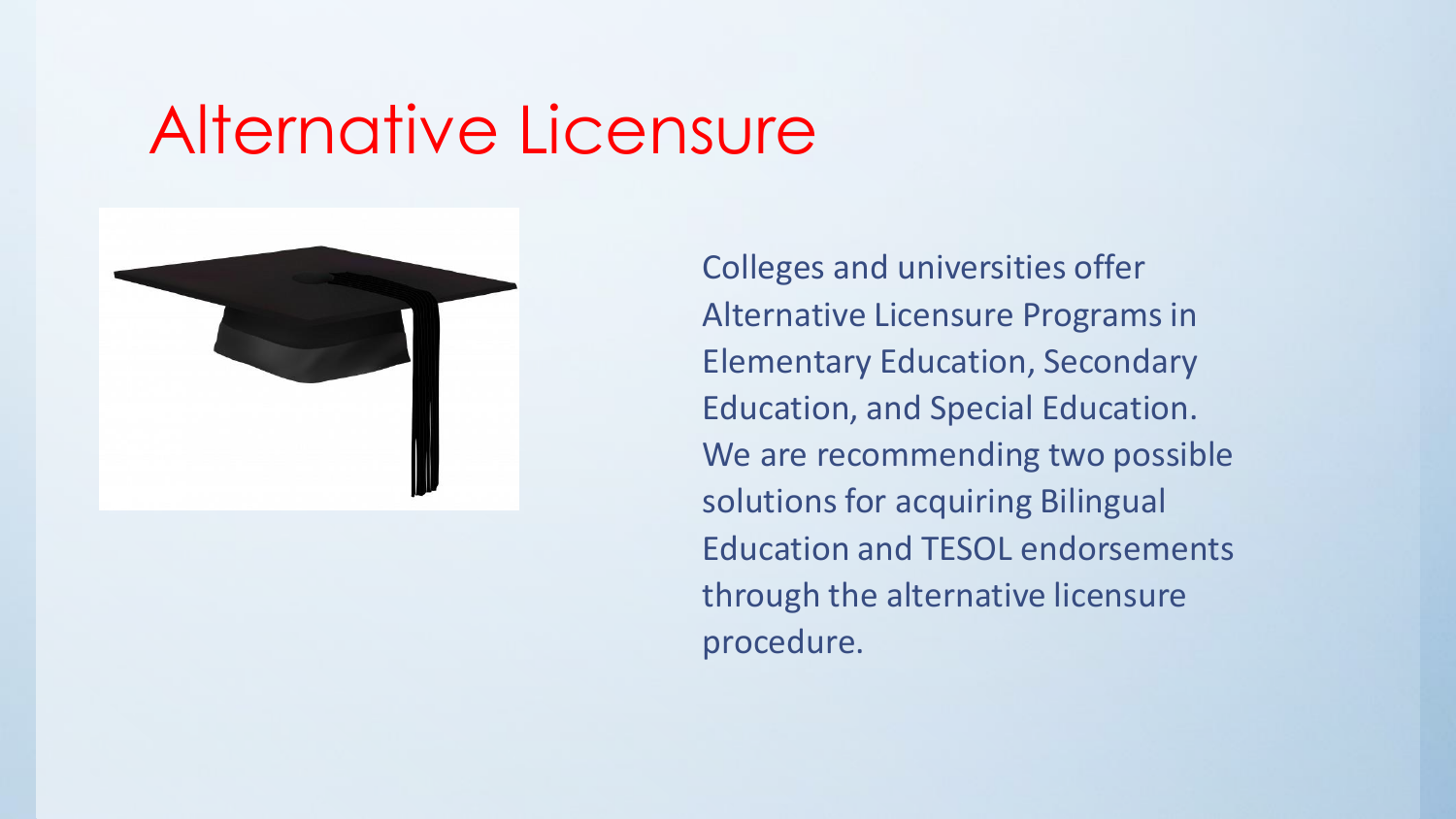#### Alternative Licensure



Colleges and universities offer Alternative Licensure Programs in Elementary Education, Secondary Education, and Special Education. We are recommending two possible solutions for acquiring Bilingual Education and TESOL endorsements through the alternative licensure procedure.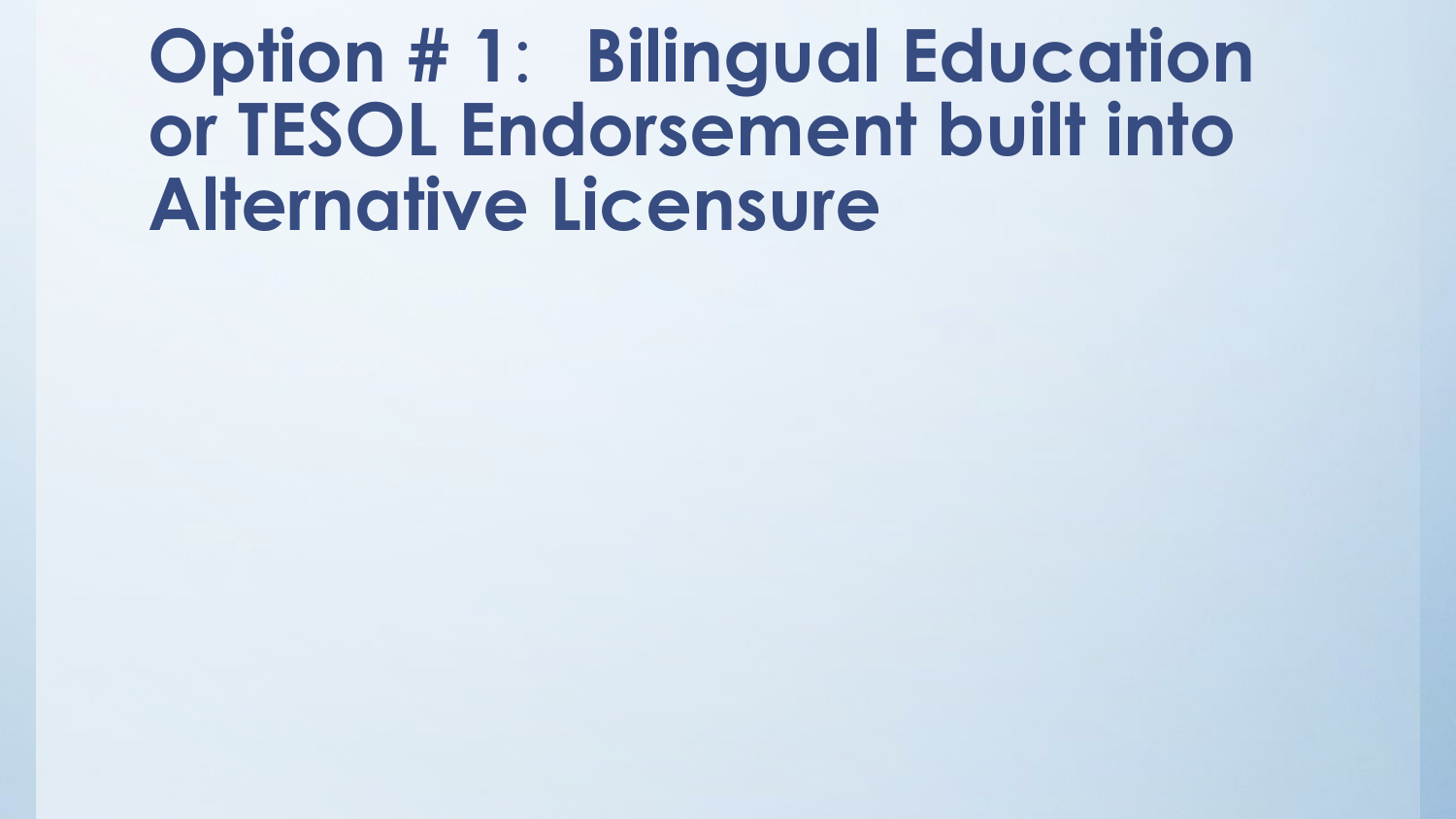## **Option # 1**: **Bilingual Education or TESOL Endorsement built into Alternative Licensure**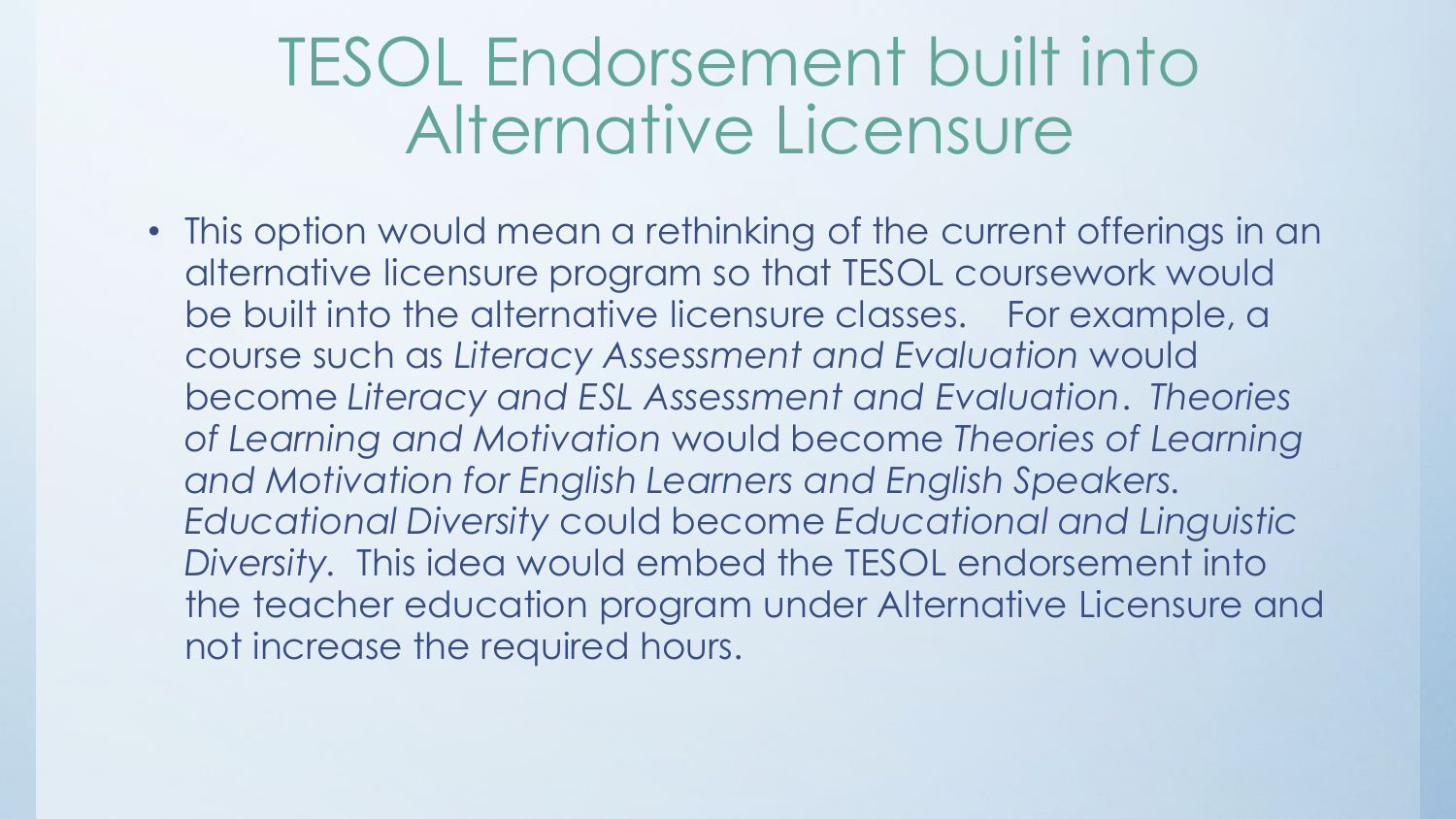#### TESOL Endorsement built into Alternative Licensure

• This option would mean a rethinking of the current offerings in an alternative licensure program so that TESOL coursework would be built into the alternative licensure classes. For example, a course such as *Literacy Assessment and Evaluation* would become *Literacy and ESL Assessment and Evaluation*. *Theories of Learning and Motivation* would become *Theories of Learning and Motivation for English Learners and English Speakers. Educational Diversity* could become *Educational and Linguistic Diversity.* This idea would embed the TESOL endorsement into the teacher education program under Alternative Licensure and not increase the required hours.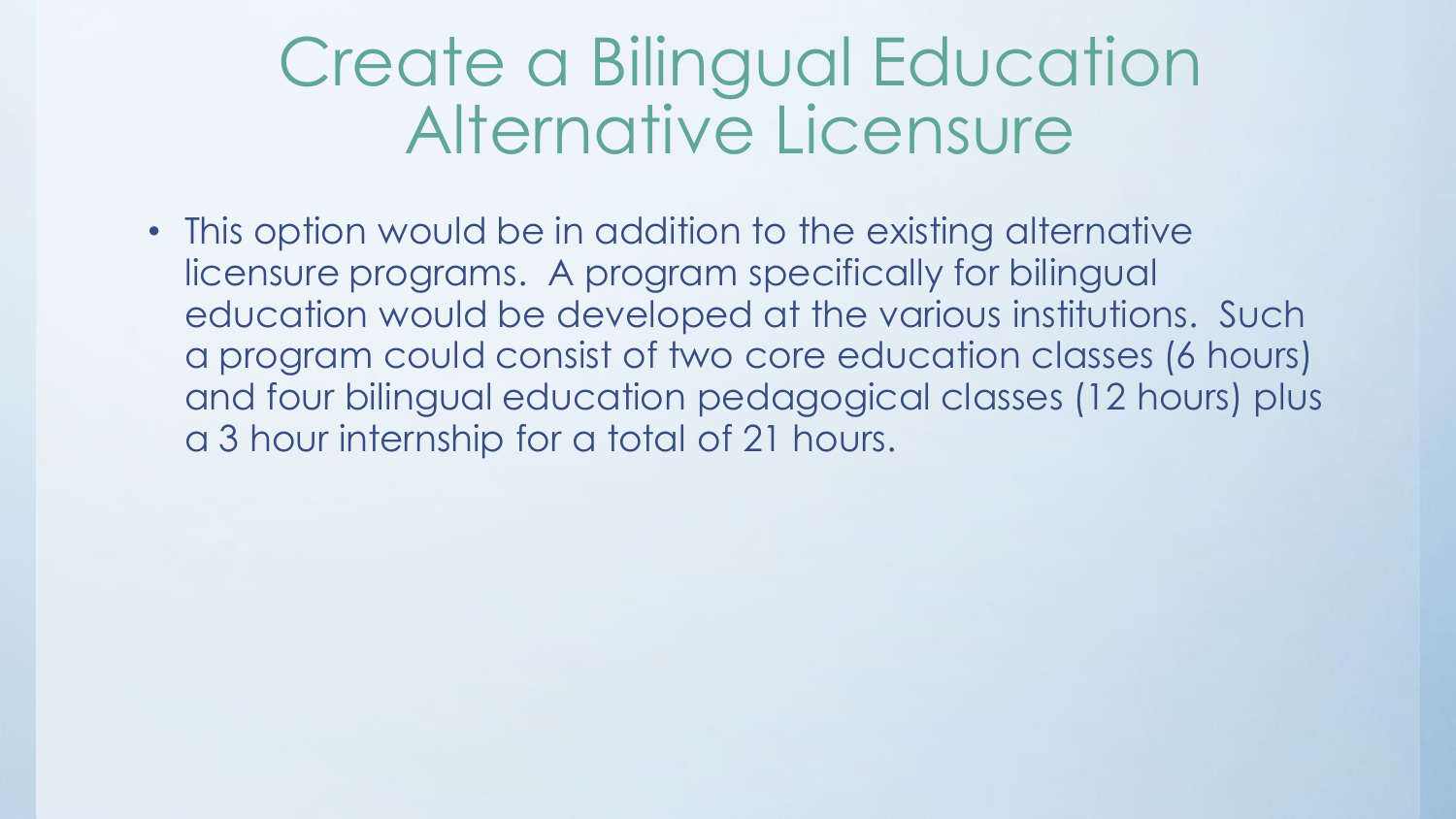#### Create a Bilingual Education Alternative Licensure

• This option would be in addition to the existing alternative licensure programs. A program specifically for bilingual education would be developed at the various institutions. Such a program could consist of two core education classes (6 hours) and four bilingual education pedagogical classes (12 hours) plus a 3 hour internship for a total of 21 hours.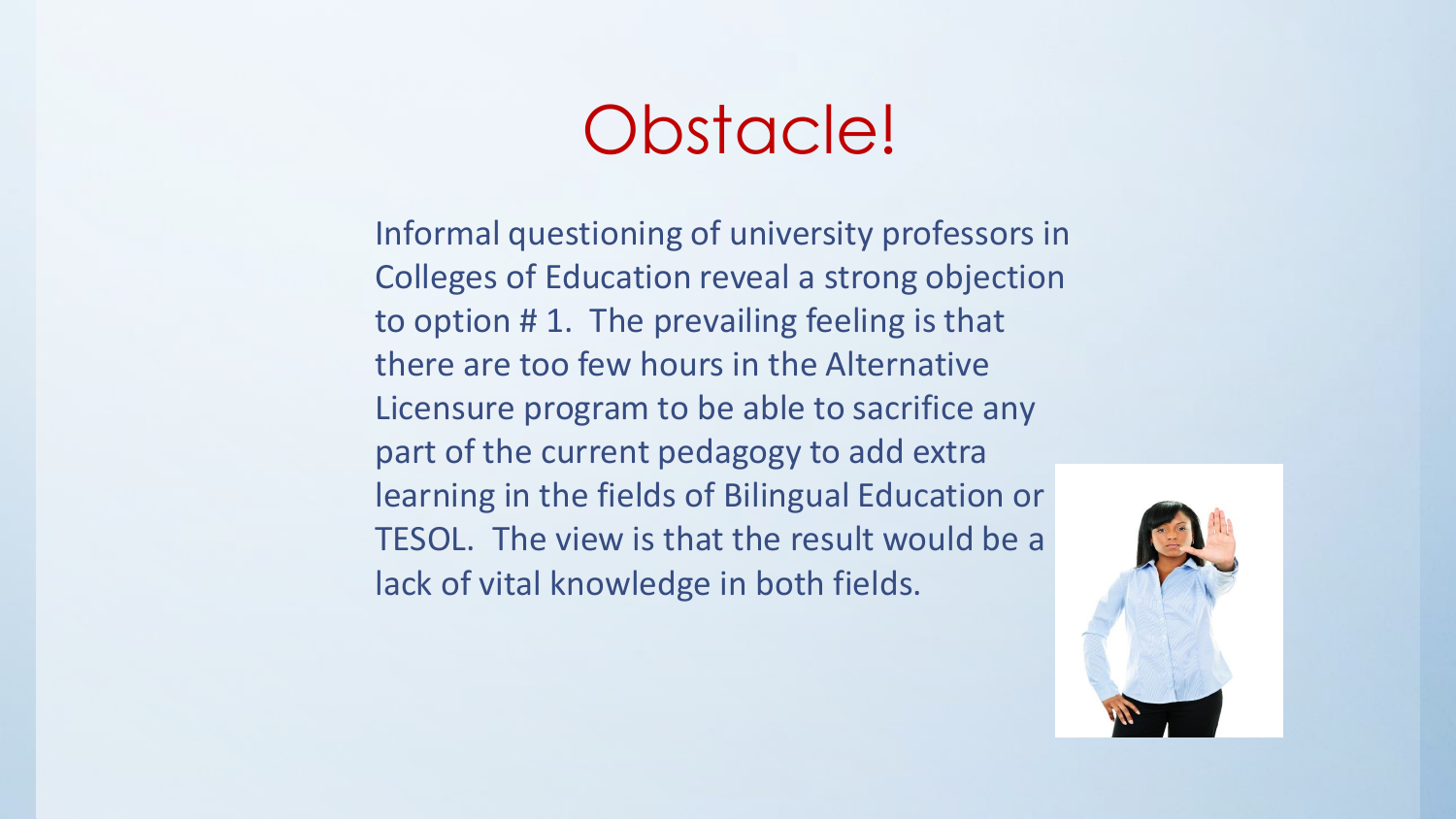#### Obstacle!

Informal questioning of university professors in Colleges of Education reveal a strong objection to option # 1. The prevailing feeling is that there are too few hours in the Alternative Licensure program to be able to sacrifice any part of the current pedagogy to add extra learning in the fields of Bilingual Education or TESOL. The view is that the result would be a lack of vital knowledge in both fields.

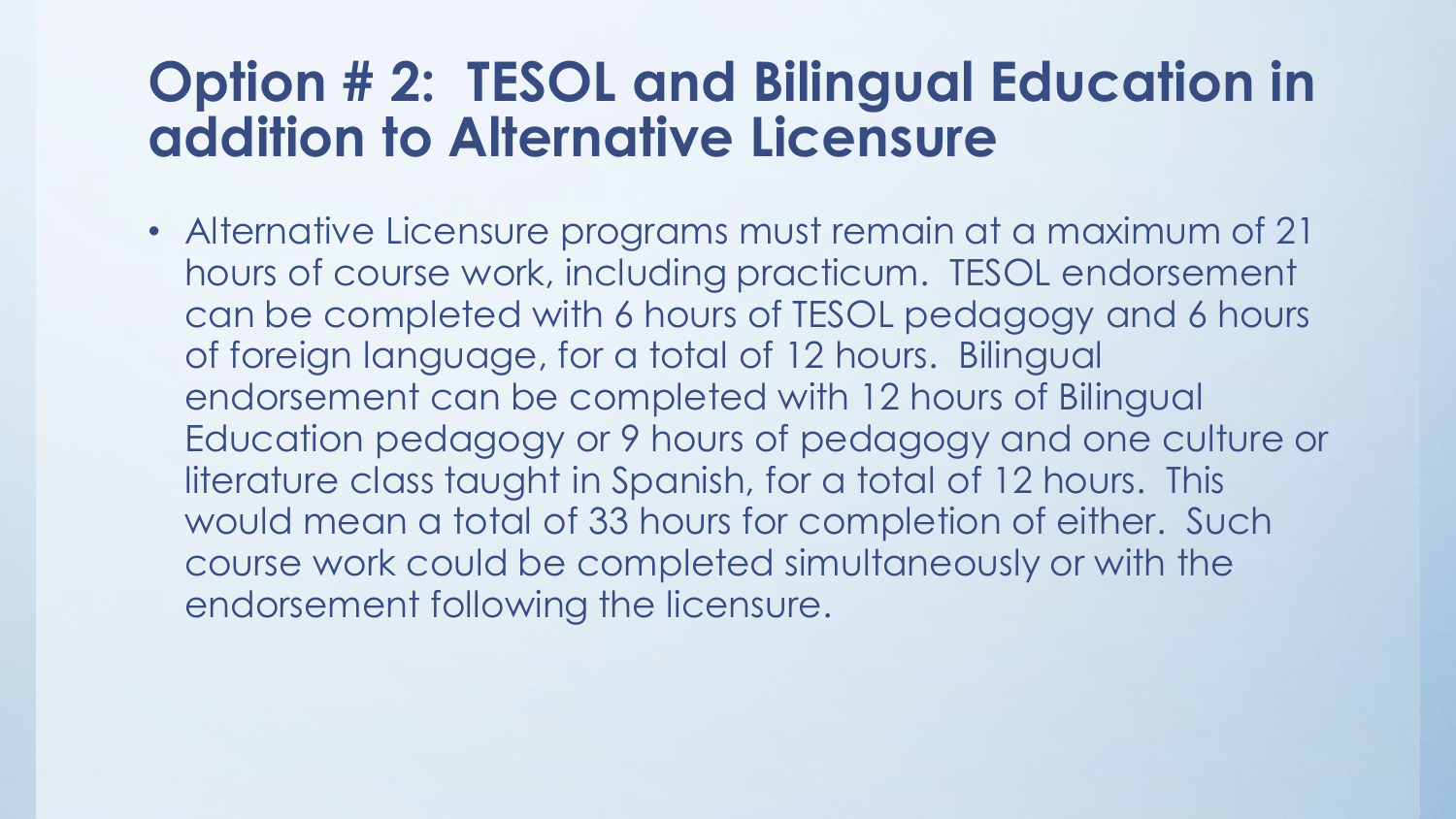#### **Option # 2: TESOL and Bilingual Education in addition to Alternative Licensure**

• Alternative Licensure programs must remain at a maximum of 21 hours of course work, including practicum. TESOL endorsement can be completed with 6 hours of TESOL pedagogy and 6 hours of foreign language, for a total of 12 hours. Bilingual endorsement can be completed with 12 hours of Bilingual Education pedagogy or 9 hours of pedagogy and one culture or literature class taught in Spanish, for a total of 12 hours. This would mean a total of 33 hours for completion of either. Such course work could be completed simultaneously or with the endorsement following the licensure.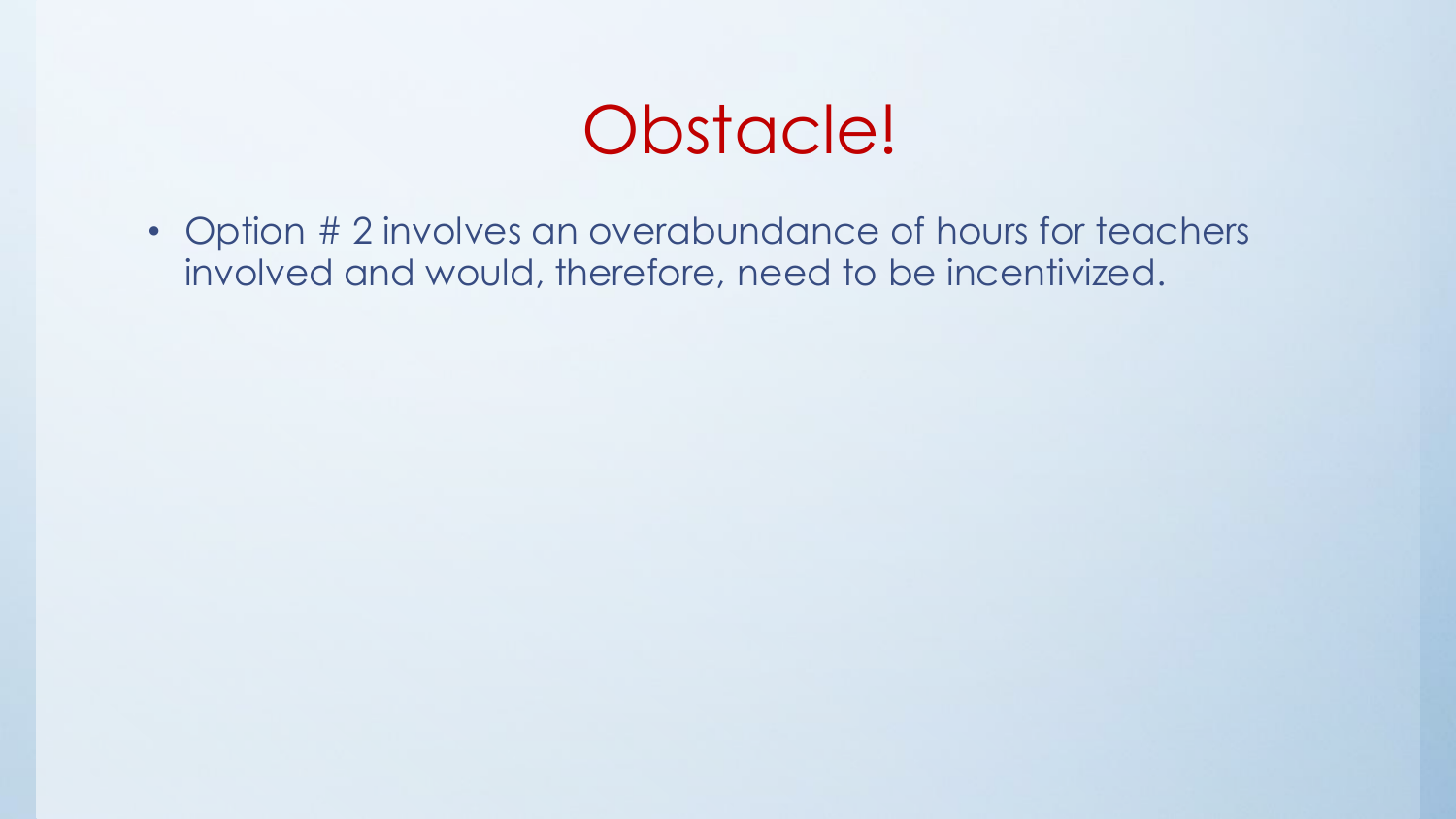#### Obstacle!

• Option # 2 involves an overabundance of hours for teachers involved and would, therefore, need to be incentivized.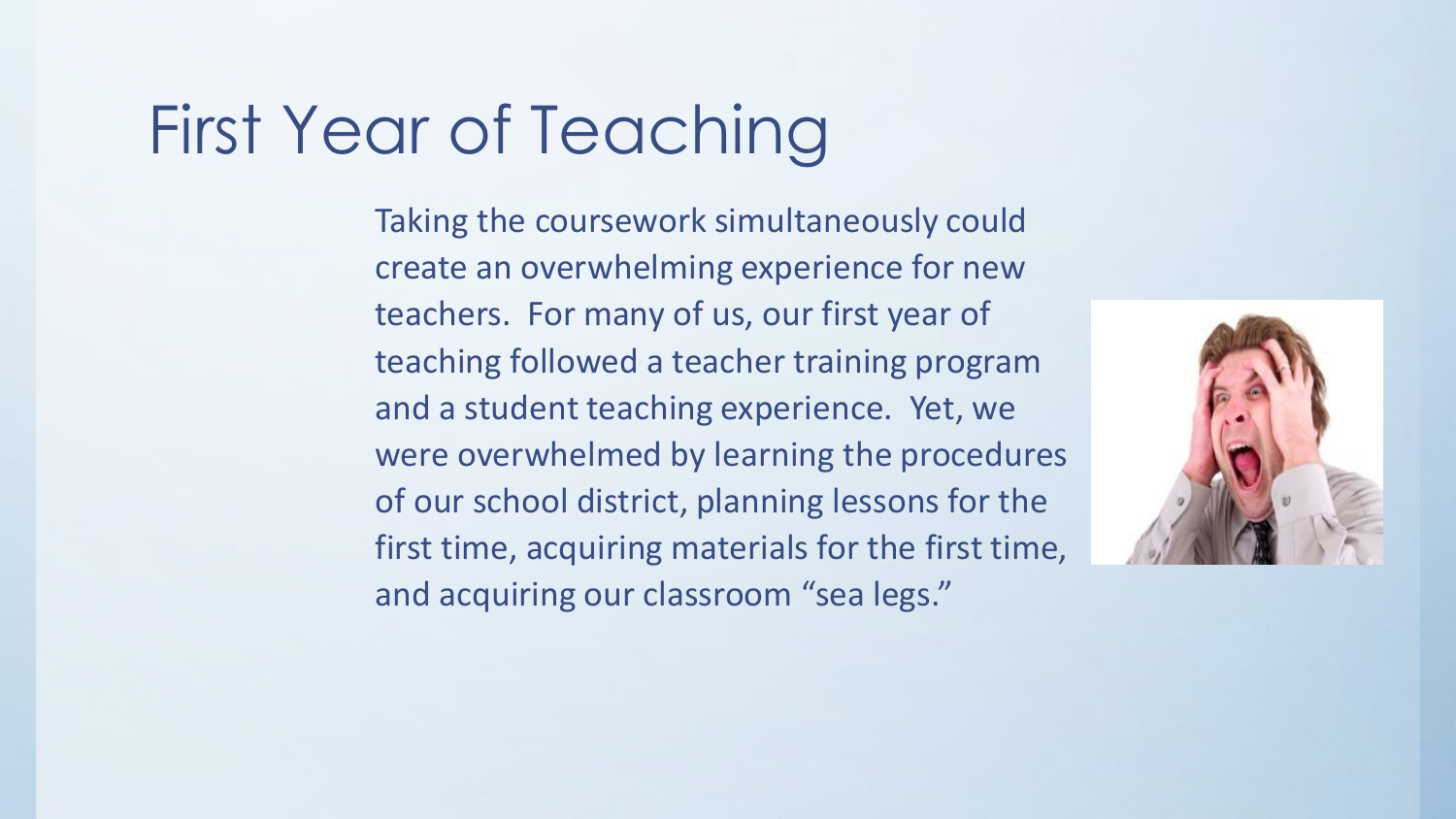### First Year of Teaching

Taking the coursework simultaneously could create an overwhelming experience for new teachers. For many of us, our first year of teaching followed a teacher training program and a student teaching experience. Yet, we were overwhelmed by learning the procedures of our school district, planning lessons for the first time, acquiring materials for the first time, and acquiring our classroom "sea legs."

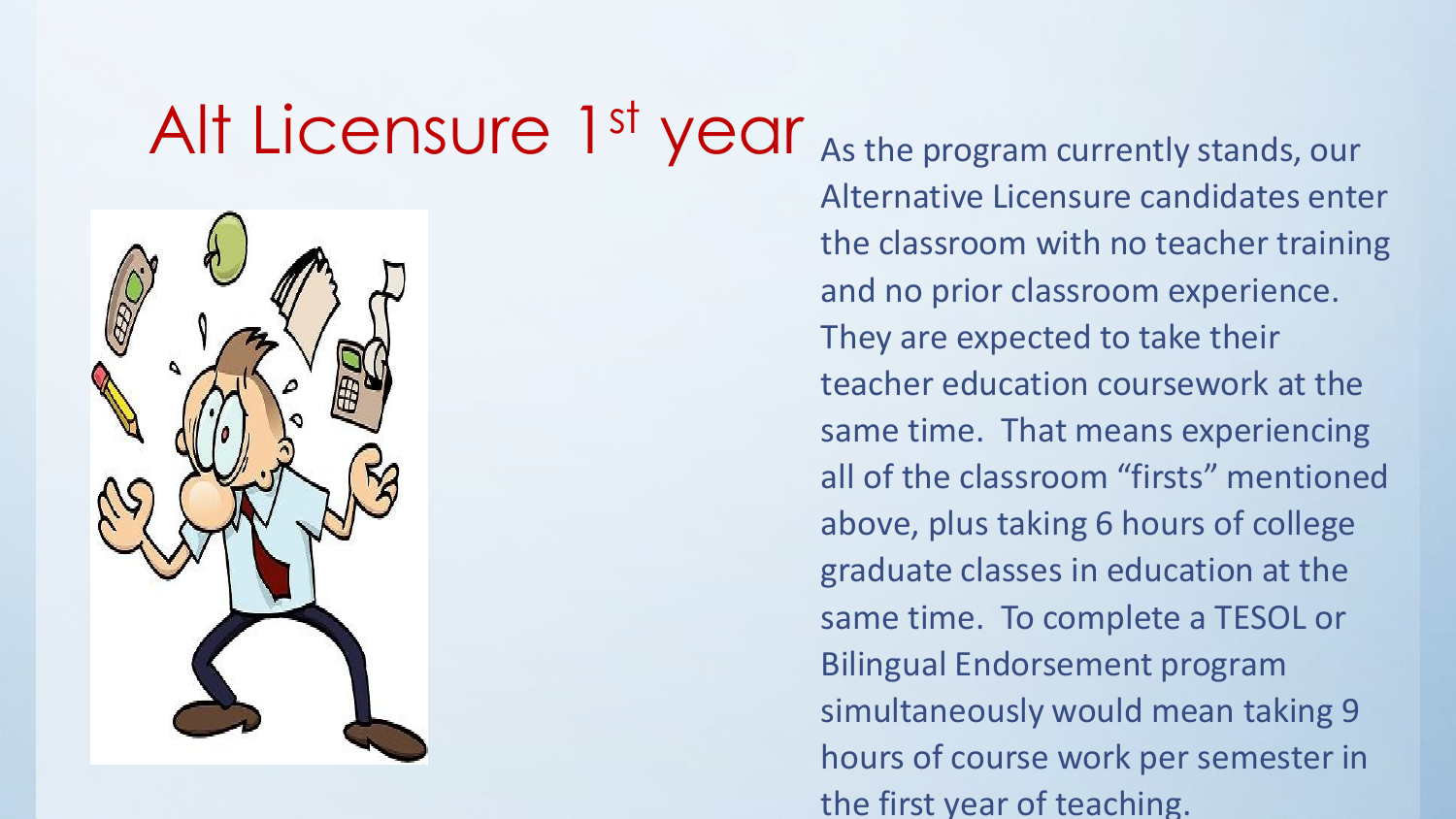## Alt Licensure 1<sup>st</sup> year As the program currently stands, our



Alternative Licensure candidates enter the classroom with no teacher training and no prior classroom experience. They are expected to take their teacher education coursework at the same time. That means experiencing all of the classroom "firsts" mentioned above, plus taking 6 hours of college graduate classes in education at the same time. To complete a TESOL or Bilingual Endorsement program simultaneously would mean taking 9 hours of course work per semester in the first year of teaching.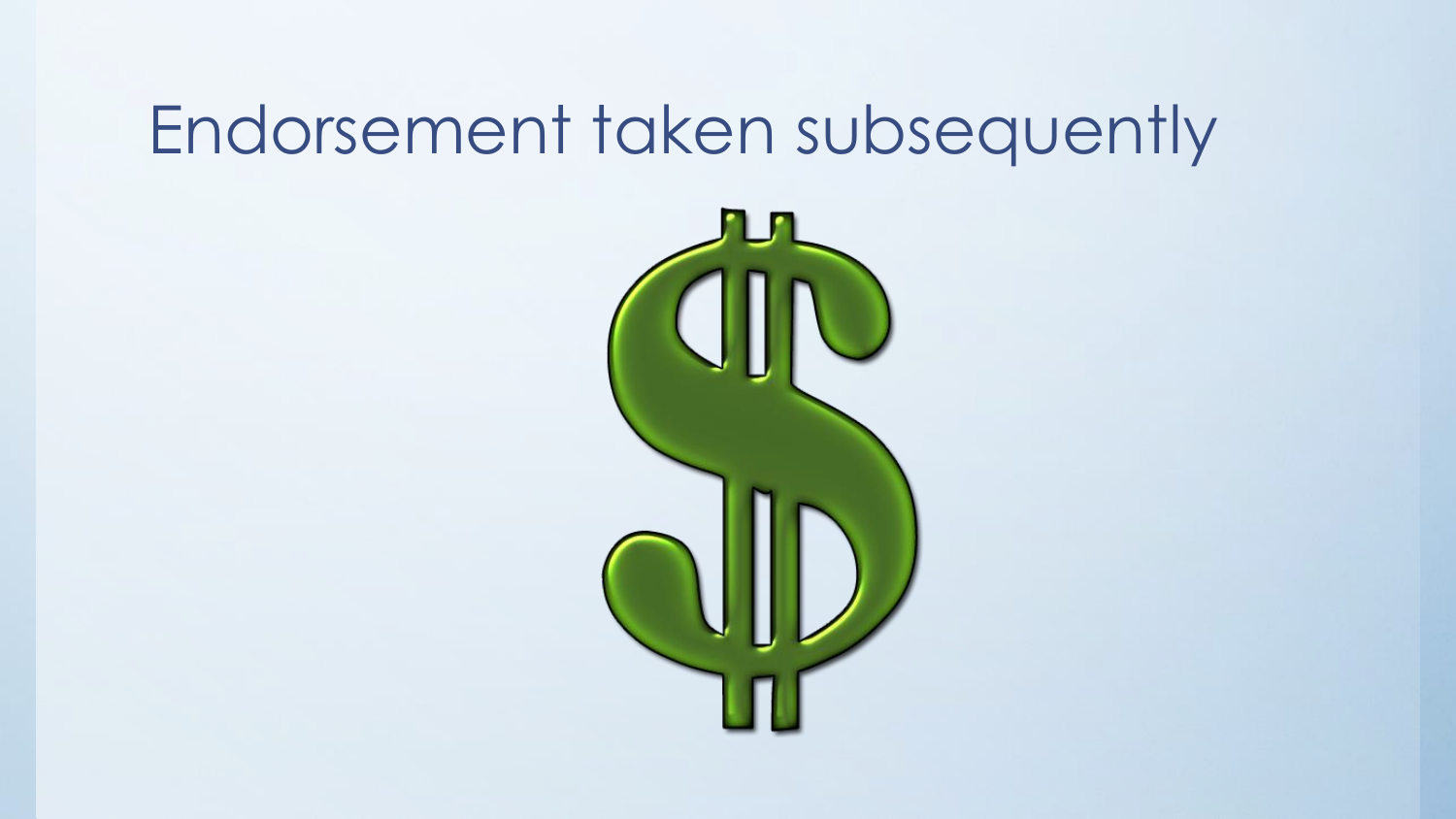### Endorsement taken subsequently

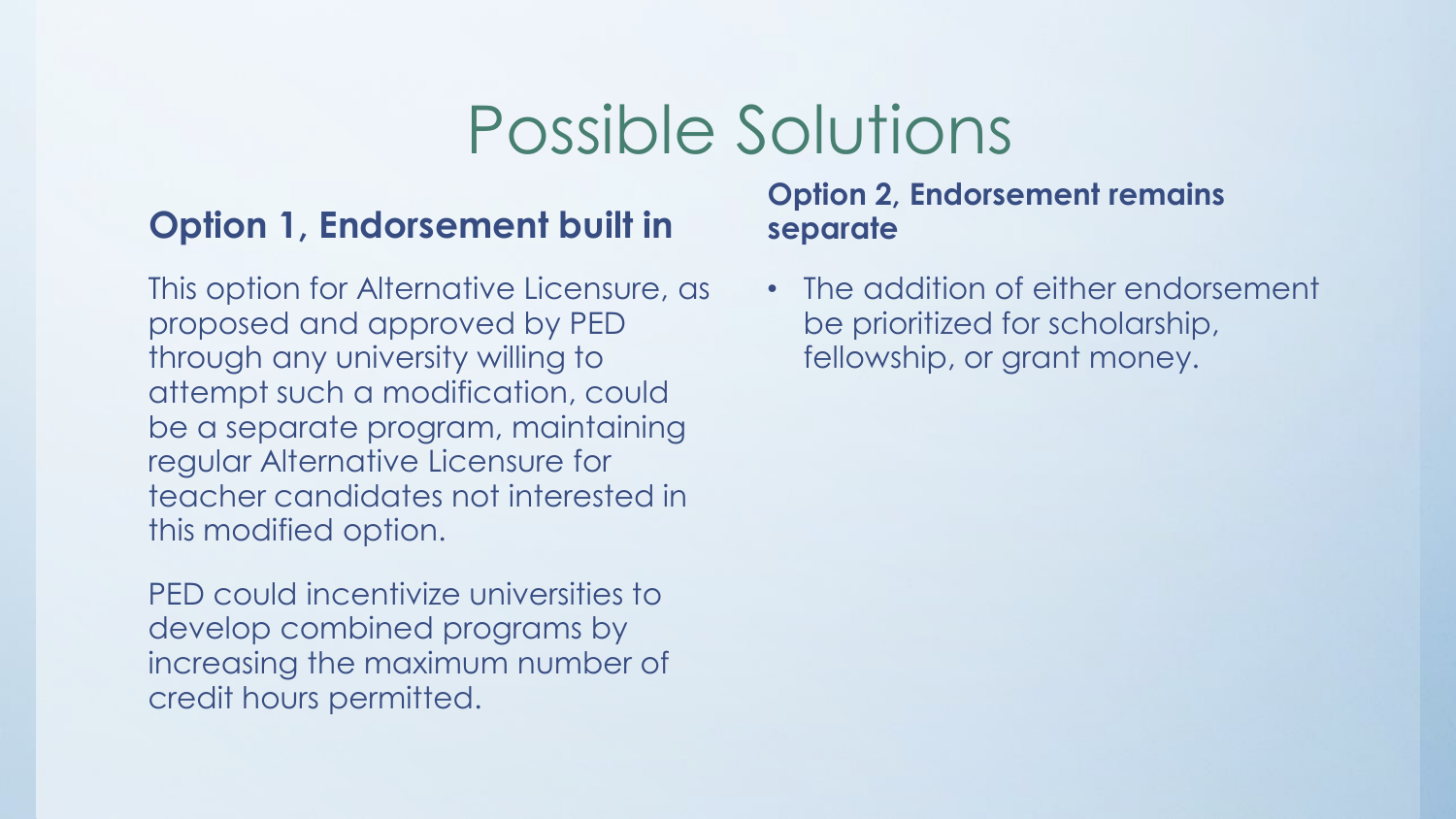#### Possible Solutions

#### **Option 1, Endorsement built in**

This option for Alternative Licensure, as proposed and approved by PED through any university willing to attempt such a modification, could be a separate program, maintaining regular Alternative Licensure for teacher candidates not interested in this modified option.

PED could incentivize universities to develop combined programs by increasing the maximum number of credit hours permitted.

#### **Option 2, Endorsement remains separate**

• The addition of either endorsement be prioritized for scholarship, fellowship, or grant money.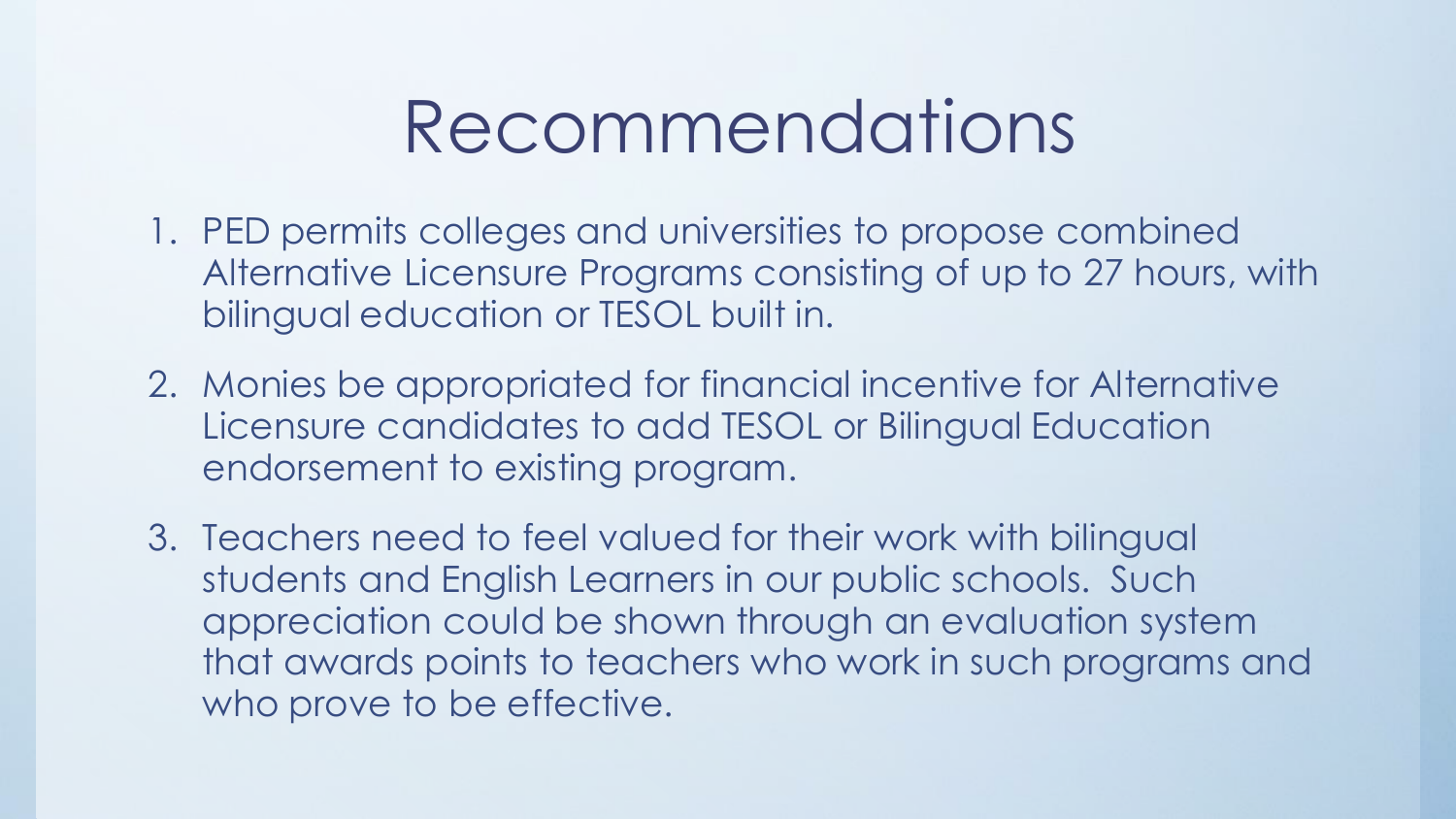### Recommendations

- 1. PED permits colleges and universities to propose combined Alternative Licensure Programs consisting of up to 27 hours, with bilingual education or TESOL built in.
- 2. Monies be appropriated for financial incentive for Alternative Licensure candidates to add TESOL or Bilingual Education endorsement to existing program.
- 3. Teachers need to feel valued for their work with bilingual students and English Learners in our public schools. Such appreciation could be shown through an evaluation system that awards points to teachers who work in such programs and who prove to be effective.